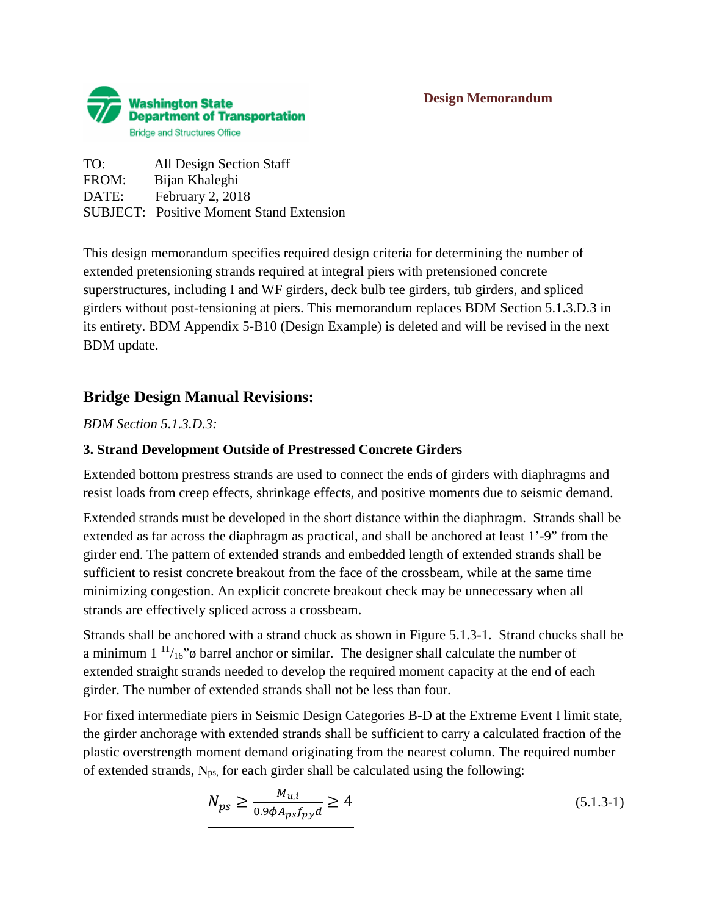

TO: All Design Section Staff FROM: Bijan Khaleghi DATE: February 2, 2018 SUBJECT: Positive Moment Stand Extension

This design memorandum specifies required design criteria for determining the number of extended pretensioning strands required at integral piers with pretensioned concrete superstructures, including I and WF girders, deck bulb tee girders, tub girders, and spliced girders without post-tensioning at piers. This memorandum replaces BDM Section 5.1.3.D.3 in its entirety. BDM Appendix 5-B10 (Design Example) is deleted and will be revised in the next BDM update.

# **Bridge Design Manual Revisions:**

*BDM Section 5.1.3.D.3:*

### **3. Strand Development Outside of Prestressed Concrete Girders**

Extended bottom prestress strands are used to connect the ends of girders with diaphragms and resist loads from creep effects, shrinkage effects, and positive moments due to seismic demand.

Extended strands must be developed in the short distance within the diaphragm. Strands shall be extended as far across the diaphragm as practical, and shall be anchored at least 1'-9" from the girder end. The pattern of extended strands and embedded length of extended strands shall be sufficient to resist concrete breakout from the face of the crossbeam, while at the same time minimizing congestion. An explicit concrete breakout check may be unnecessary when all strands are effectively spliced across a crossbeam.

Strands shall be anchored with a strand chuck as shown in Figure 5.1.3-1. Strand chucks shall be a minimum  $1^{11/16}$ " $\phi$  barrel anchor or similar. The designer shall calculate the number of extended straight strands needed to develop the required moment capacity at the end of each girder. The number of extended strands shall not be less than four.

For fixed intermediate piers in Seismic Design Categories B-D at the Extreme Event I limit state, the girder anchorage with extended strands shall be sufficient to carry a calculated fraction of the plastic overstrength moment demand originating from the nearest column. The required number of extended strands,  $N_{ps}$ , for each girder shall be calculated using the following:

$$
N_{ps} \ge \frac{M_{u,i}}{0.9\phi A_{ps} f_{py} d} \ge 4\tag{5.1.3-1}
$$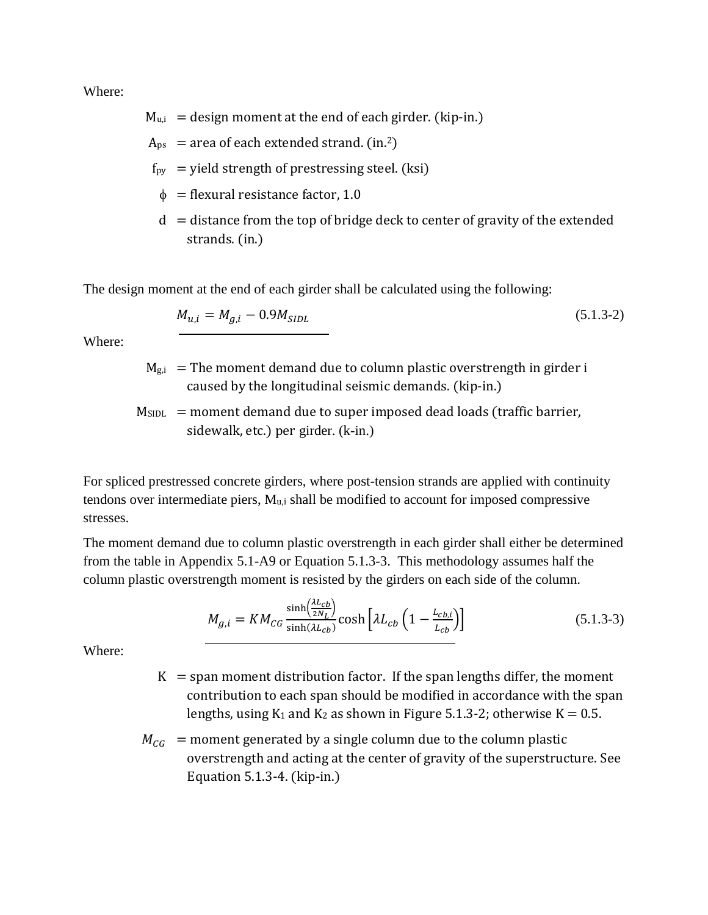Where:

- $M_{\text{u,i}}$  = design moment at the end of each girder. (kip-in.)
- $A_{ps}$  = area of each extended strand. (in.<sup>2</sup>)
- $f_{py}$  = yield strength of prestressing steel. (ksi)
- $\phi$  = flexural resistance factor, 1.0
- $d =$  distance from the top of bridge deck to center of gravity of the extended strands. (in.)

The design moment at the end of each girder shall be calculated using the following:

$$
M_{u,i} = M_{g,i} - 0.9M_{SIDL}
$$
\n(5.1.3-2)

Where:

- $M<sub>g,i</sub>$  = The moment demand due to column plastic overstrength in girder i caused by the longitudinal seismic demands. (kip-in.)
- $M<sub>SIDL</sub>$  = moment demand due to super imposed dead loads (traffic barrier, sidewalk, etc.) per girder. (k-in.)

For spliced prestressed concrete girders, where post-tension strands are applied with continuity tendons over intermediate piers,  $M_{u,i}$  shall be modified to account for imposed compressive stresses.

The moment demand due to column plastic overstrength in each girder shall either be determined from the table in Appendix 5.1-A9 or Equation 5.1.3-3. This methodology assumes half the column plastic overstrength moment is resisted by the girders on each side of the column.

$$
M_{g,i} = KM_{CG} \frac{\sinh\left(\frac{\lambda L_{Cb}}{2N_L}\right)}{\sinh(\lambda L_{cb})} \cosh\left[\lambda L_{cb}\left(1 - \frac{L_{cb,i}}{L_{cb}}\right)\right]
$$
(5.1.3-3)

Where:

- $K =$ span moment distribution factor. If the span lengths differ, the moment contribution to each span should be modified in accordance with the span lengths, using  $K_1$  and  $K_2$  as shown in Figure 5.1.3-2; otherwise  $K = 0.5$ .
- $M_{CG}$  = moment generated by a single column due to the column plastic overstrength and acting at the center of gravity of the superstructure. See Equation 5.1.3-4. (kip-in.)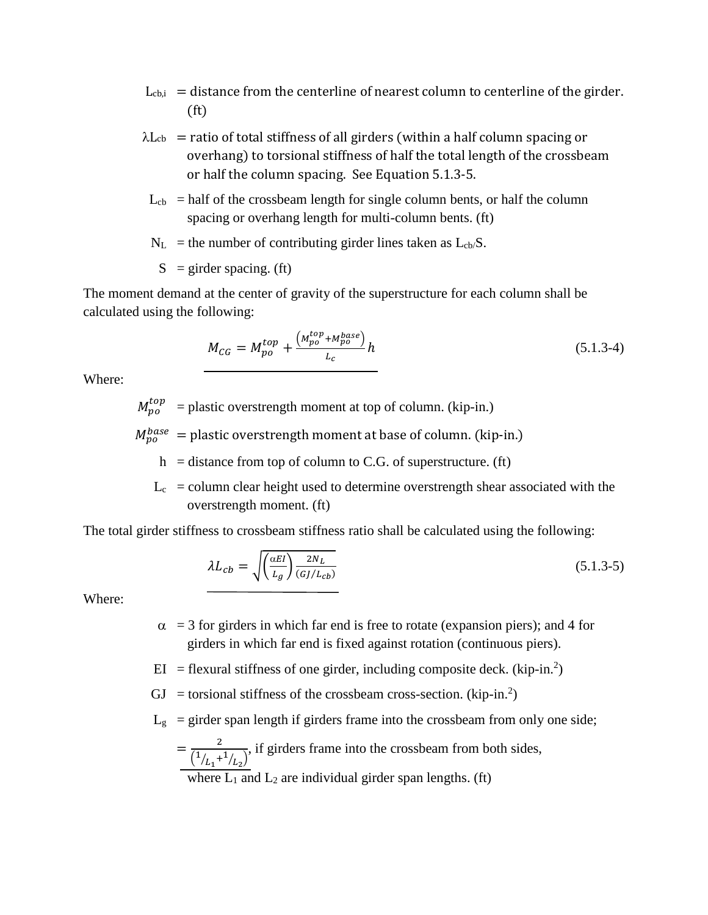- $L_{cb,i}$  = distance from the centerline of nearest column to centerline of the girder. (ft)
- $\lambda$ L<sub>cb</sub> = ratio of total stiffness of all girders (within a half column spacing or overhang) to torsional stiffness of half the total length of the crossbeam or half the column spacing. See Equation 5.1.3-5.
- $L_{cb}$  = half of the crossbeam length for single column bents, or half the column spacing or overhang length for multi-column bents. (ft)
- $N_L$  = the number of contributing girder lines taken as  $L_{cb}/S$ .
	- $S =$  girder spacing. (ft)

The moment demand at the center of gravity of the superstructure for each column shall be calculated using the following:

$$
M_{CG} = M_{po}^{top} + \frac{(M_{po}^{top} + M_{po}^{base})}{L_c}h
$$
 (5.1.3-4)

Where:

 $M_{po}^{top}$  = plastic overstrength moment at top of column. (kip-in.)

 $M_{po}^{base}$  = plastic overstrength moment at base of column. (kip-in.)

 $h =$  distance from top of column to C.G. of superstructure. (ft)

 $L_c$  = column clear height used to determine overstrength shear associated with the overstrength moment. (ft)

The total girder stiffness to crossbeam stiffness ratio shall be calculated using the following:

$$
\lambda L_{cb} = \sqrt{\left(\frac{\alpha EI}{L_g}\right) \frac{2N_L}{(G/L_{cb})}}
$$
\n(5.1.3-5)

Where:

- $\alpha$  = 3 for girders in which far end is free to rotate (expansion piers); and 4 for girders in which far end is fixed against rotation (continuous piers).
- $EI$  = flexural stiffness of one girder, including composite deck. (kip-in.<sup>2</sup>)
- $GJ =$  torsional stiffness of the crossbeam cross-section. (kip-in.<sup>2</sup>)
- $L<sub>g</sub>$  = girder span length if girders frame into the crossbeam from only one side;
	- $=\frac{2}{(1/1)^2}$  $\frac{(1/2)^{1/2}}{L_1 + 1/2}$ , if girders frame into the crossbeam from both sides,

where  $L_1$  and  $L_2$  are individual girder span lengths. (ft)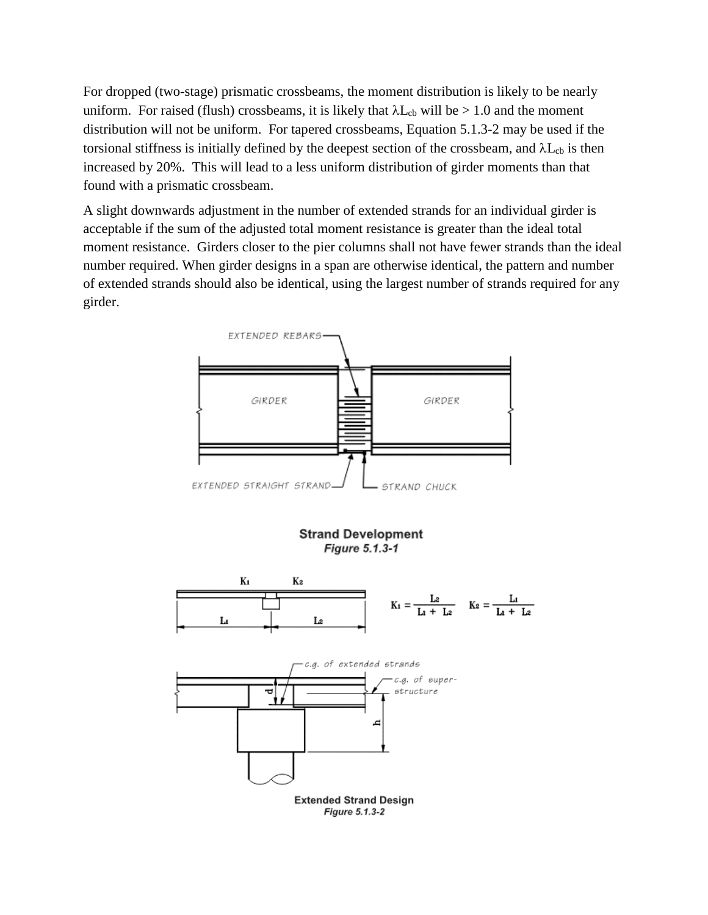For dropped (two-stage) prismatic crossbeams, the moment distribution is likely to be nearly uniform. For raised (flush) crossbeams, it is likely that  $\lambda L_{cb}$  will be  $> 1.0$  and the moment distribution will not be uniform. For tapered crossbeams, Equation 5.1.3-2 may be used if the torsional stiffness is initially defined by the deepest section of the crossbeam, and  $\lambda L_{cb}$  is then increased by 20%. This will lead to a less uniform distribution of girder moments than that found with a prismatic crossbeam.

A slight downwards adjustment in the number of extended strands for an individual girder is acceptable if the sum of the adjusted total moment resistance is greater than the ideal total moment resistance. Girders closer to the pier columns shall not have fewer strands than the ideal number required. When girder designs in a span are otherwise identical, the pattern and number of extended strands should also be identical, using the largest number of strands required for any girder.

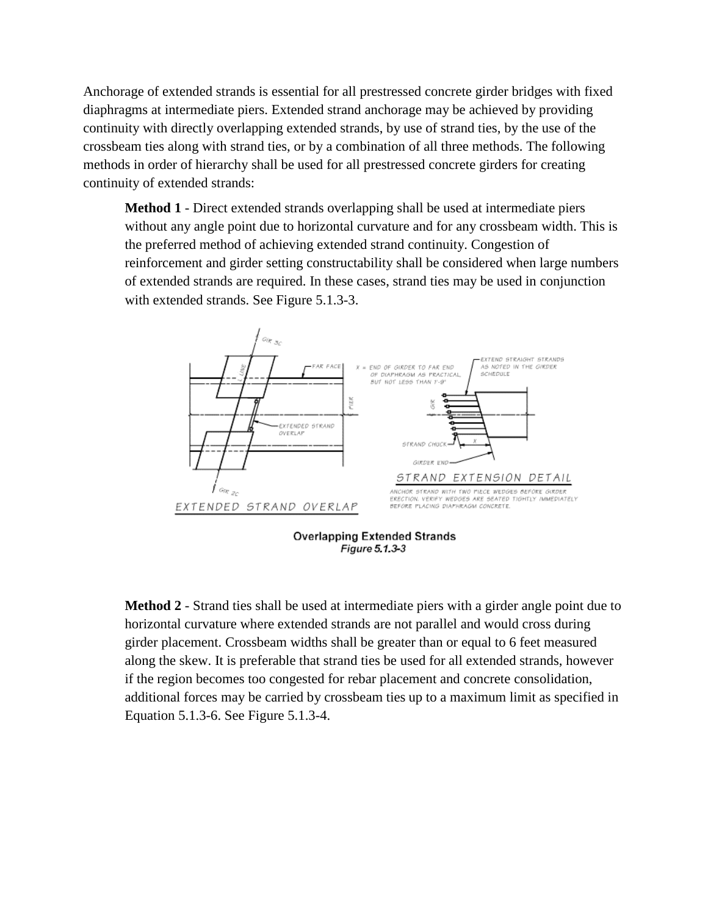Anchorage of extended strands is essential for all prestressed concrete girder bridges with fixed diaphragms at intermediate piers. Extended strand anchorage may be achieved by providing continuity with directly overlapping extended strands, by use of strand ties, by the use of the crossbeam ties along with strand ties, or by a combination of all three methods. The following methods in order of hierarchy shall be used for all prestressed concrete girders for creating continuity of extended strands:

**Method 1** - Direct extended strands overlapping shall be used at intermediate piers without any angle point due to horizontal curvature and for any crossbeam width. This is the preferred method of achieving extended strand continuity. Congestion of reinforcement and girder setting constructability shall be considered when large numbers of extended strands are required. In these cases, strand ties may be used in conjunction with extended strands. See Figure 5.1.3-3.



**Method 2** - Strand ties shall be used at intermediate piers with a girder angle point due to horizontal curvature where extended strands are not parallel and would cross during girder placement. Crossbeam widths shall be greater than or equal to 6 feet measured along the skew. It is preferable that strand ties be used for all extended strands, however if the region becomes too congested for rebar placement and concrete consolidation, additional forces may be carried by crossbeam ties up to a maximum limit as specified in Equation 5.1.3-6. See Figure 5.1.3-4.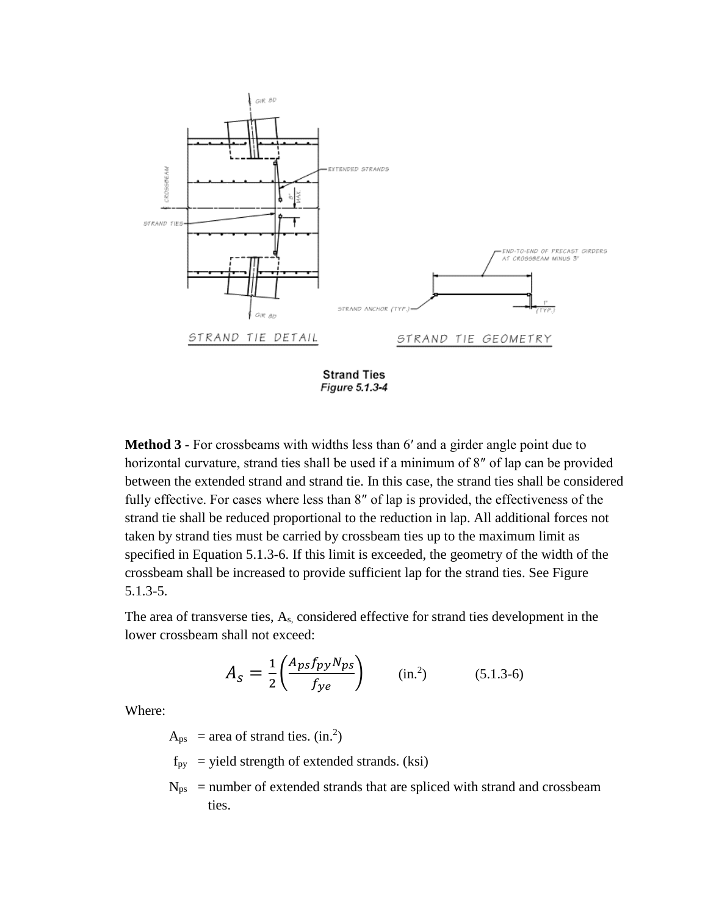

**Strand Ties** Figure 5.1.3-4

**Method 3** - For crossbeams with widths less than 6′ and a girder angle point due to horizontal curvature, strand ties shall be used if a minimum of 8″ of lap can be provided between the extended strand and strand tie. In this case, the strand ties shall be considered fully effective. For cases where less than 8″ of lap is provided, the effectiveness of the strand tie shall be reduced proportional to the reduction in lap. All additional forces not taken by strand ties must be carried by crossbeam ties up to the maximum limit as specified in Equation 5.1.3-6. If this limit is exceeded, the geometry of the width of the crossbeam shall be increased to provide sufficient lap for the strand ties. See Figure 5.1.3-5.

The area of transverse ties, As, considered effective for strand ties development in the lower crossbeam shall not exceed:

$$
A_S = \frac{1}{2} \left( \frac{A_{ps} f_{py} N_{ps}}{f_{ye}} \right) \qquad (\text{in.}^2) \tag{5.1.3-6}
$$

Where:

 $A_{ps}$  = area of strand ties. (in.<sup>2</sup>)

- $f_{py}$  = yield strength of extended strands. (ksi)
- $N_{ps}$  = number of extended strands that are spliced with strand and crossbeam ties.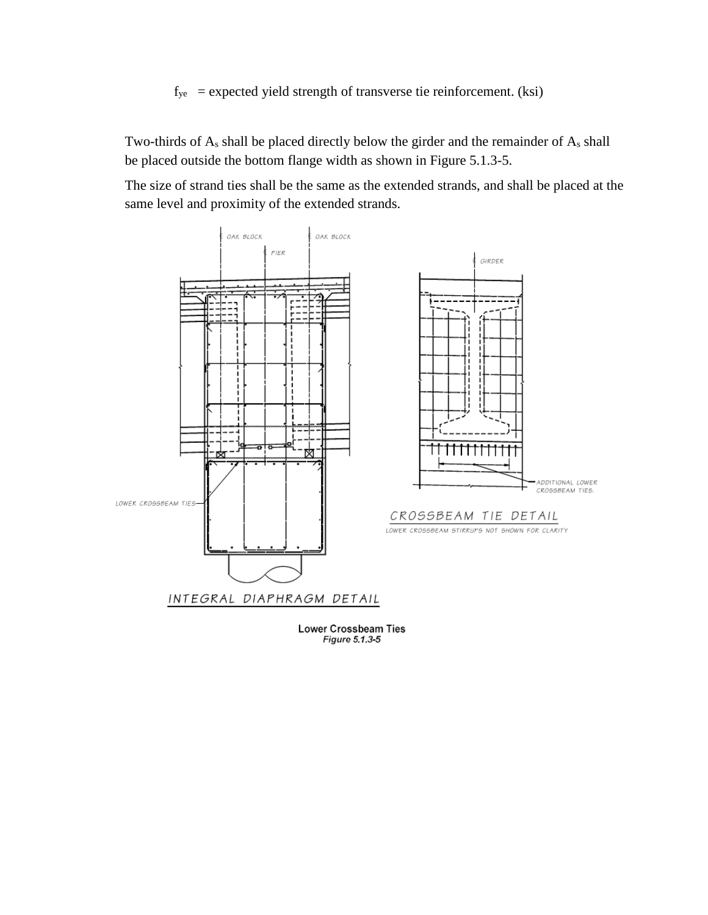$f_{ye}$  = expected yield strength of transverse tie reinforcement. (ksi)

Two-thirds of As shall be placed directly below the girder and the remainder of As shall be placed outside the bottom flange width as shown in Figure 5.1.3-5.

The size of strand ties shall be the same as the extended strands, and shall be placed at the same level and proximity of the extended strands.



Figure 5.1.3-5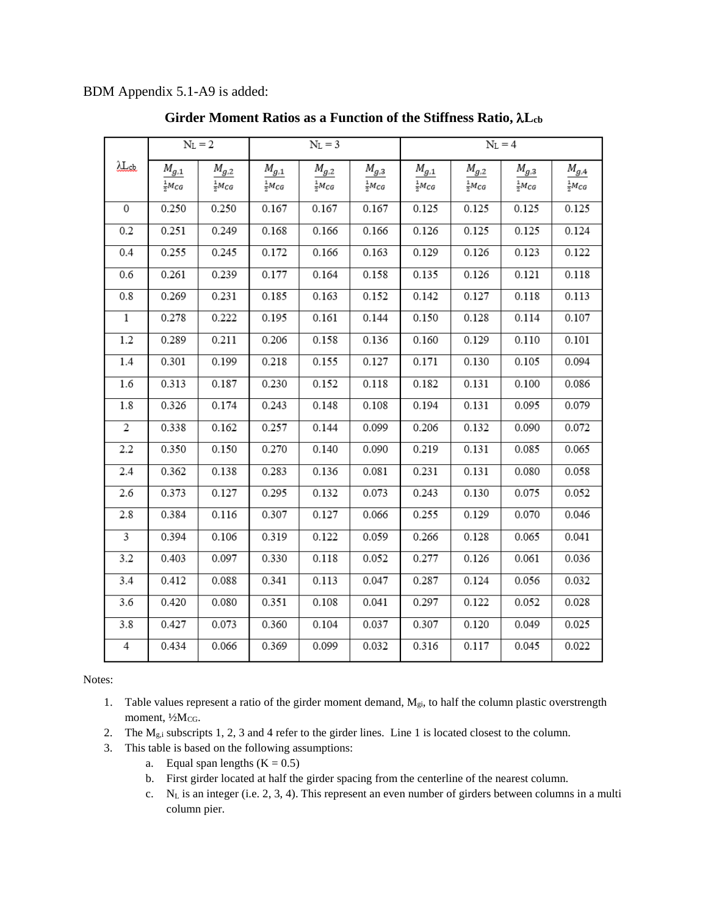### BDM Appendix 5.1-A9 is added:

|                         | $N_L = 2$           |                     | $N_L = 3$           |                     |                     | $N_L = 4$           |                     |                     |                                     |
|-------------------------|---------------------|---------------------|---------------------|---------------------|---------------------|---------------------|---------------------|---------------------|-------------------------------------|
| <u>Llet</u>             | $M_{g,1}$           | ${\cal M}_{g,2}$    | ${\cal M}_{g,1}$    | $M_{g,2}$           | $M_{g,3}$           | $M_{g,1}$           | $M_{g,2}$           | $M_{g,3}$           | $\frac{M_{g,4}}{\frac{1}{2}M_{CG}}$ |
|                         | $\frac{1}{2}M_{CG}$ | $\frac{1}{2}M_{CG}$ | $\frac{1}{2}M_{CG}$ | $\frac{1}{2}M_{CG}$ | $\frac{1}{2}M_{CG}$ | $\frac{1}{2}M_{CG}$ | $\frac{1}{2}M_{CG}$ | $\frac{1}{2}M_{CG}$ |                                     |
| $\overline{0}$          | 0.250               | 0.250               | 0.167               | 0.167               | 0.167               | 0.125               | 0.125               | 0.125               | 0.125                               |
| 0.2                     | 0.251               | 0.249               | 0.168               | 0.166               | 0.166               | 0.126               | 0.125               | 0.125               | 0.124                               |
| 0.4                     | 0.255               | 0.245               | 0.172               | 0.166               | 0.163               | 0.129               | 0.126               | 0.123               | 0.122                               |
| 0.6                     | 0.261               | 0.239               | 0.177               | 0.164               | 0.158               | 0.135               | 0.126               | 0.121               | 0.118                               |
| 0.8                     | 0.269               | 0.231               | 0.185               | 0.163               | 0.152               | 0.142               | 0.127               | 0.118               | 0.113                               |
| $\mathbf 1$             | 0.278               | 0.222               | 0.195               | 0.161               | 0.144               | 0.150               | 0.128               | 0.114               | 0.107                               |
| 1.2                     | 0.289               | 0.211               | 0.206               | 0.158               | 0.136               | 0.160               | 0.129               | 0.110               | 0.101                               |
| 1.4                     | 0.301               | 0.199               | 0.218               | 0.155               | 0.127               | 0.171               | 0.130               | 0.105               | 0.094                               |
| 1.6                     | 0.313               | 0.187               | 0.230               | 0.152               | 0.118               | 0.182               | 0.131               | 0.100               | 0.086                               |
| 1.8                     | 0.326               | 0.174               | 0.243               | 0.148               | 0.108               | 0.194               | 0.131               | 0.095               | 0.079                               |
| $\overline{2}$          | 0.338               | 0.162               | 0.257               | 0.144               | 0.099               | 0.206               | 0.132               | 0.090               | 0.072                               |
| 2.2                     | 0.350               | 0.150               | 0.270               | 0.140               | 0.090               | 0.219               | 0.131               | 0.085               | 0.065                               |
| 2.4                     | 0.362               | 0.138               | 0.283               | 0.136               | 0.081               | 0.231               | 0.131               | 0.080               | 0.058                               |
| 2.6                     | 0.373               | 0.127               | 0.295               | 0.132               | 0.073               | 0.243               | 0.130               | 0.075               | 0.052                               |
| 2.8                     | 0.384               | 0.116               | 0.307               | 0.127               | 0.066               | 0.255               | 0.129               | 0.070               | 0.046                               |
| $\overline{\mathbf{3}}$ | 0.394               | 0.106               | 0.319               | 0.122               | 0.059               | 0.266               | 0.128               | 0.065               | 0.041                               |
| 3.2                     | 0.403               | 0.097               | 0.330               | 0.118               | 0.052               | 0.277               | 0.126               | 0.061               | 0.036                               |
| 3.4                     | 0.412               | 0.088               | 0.341               | 0.113               | 0.047               | 0.287               | 0.124               | 0.056               | 0.032                               |
| 3.6                     | 0.420               | 0.080               | 0.351               | 0.108               | 0.041               | 0.297               | 0.122               | 0.052               | 0.028                               |
| 3.8                     | 0.427               | 0.073               | 0.360               | 0.104               | 0.037               | 0.307               | 0.120               | 0.049               | 0.025                               |
| 4                       | 0.434               | 0.066               | 0.369               | 0.099               | 0.032               | 0.316               | 0.117               | 0.045               | 0.022                               |

### **Girder Moment Ratios as a Function of the Stiffness Ratio,** λ**Lcb**

Notes:

- 1. Table values represent a ratio of the girder moment demand,  $M_{gi}$ , to half the column plastic overstrength moment, 1/2McG.
- 2. The M<sub>g,i</sub> subscripts 1, 2, 3 and 4 refer to the girder lines. Line 1 is located closest to the column.
- 3. This table is based on the following assumptions:
	- a. Equal span lengths  $(K = 0.5)$
	- b. First girder located at half the girder spacing from the centerline of the nearest column.
	- c. NL is an integer (i.e. 2, 3, 4). This represent an even number of girders between columns in a multi column pier.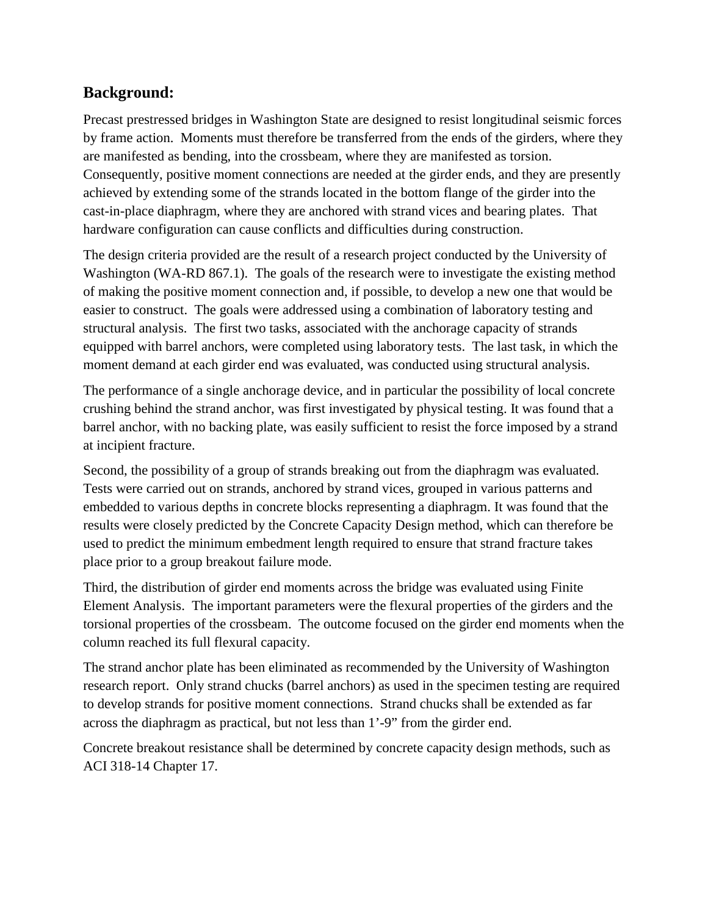## **Background:**

Precast prestressed bridges in Washington State are designed to resist longitudinal seismic forces by frame action. Moments must therefore be transferred from the ends of the girders, where they are manifested as bending, into the crossbeam, where they are manifested as torsion. Consequently, positive moment connections are needed at the girder ends, and they are presently achieved by extending some of the strands located in the bottom flange of the girder into the cast-in-place diaphragm, where they are anchored with strand vices and bearing plates. That hardware configuration can cause conflicts and difficulties during construction.

The design criteria provided are the result of a research project conducted by the University of Washington (WA-RD 867.1). The goals of the research were to investigate the existing method of making the positive moment connection and, if possible, to develop a new one that would be easier to construct. The goals were addressed using a combination of laboratory testing and structural analysis. The first two tasks, associated with the anchorage capacity of strands equipped with barrel anchors, were completed using laboratory tests. The last task, in which the moment demand at each girder end was evaluated, was conducted using structural analysis.

The performance of a single anchorage device, and in particular the possibility of local concrete crushing behind the strand anchor, was first investigated by physical testing. It was found that a barrel anchor, with no backing plate, was easily sufficient to resist the force imposed by a strand at incipient fracture.

Second, the possibility of a group of strands breaking out from the diaphragm was evaluated. Tests were carried out on strands, anchored by strand vices, grouped in various patterns and embedded to various depths in concrete blocks representing a diaphragm. It was found that the results were closely predicted by the Concrete Capacity Design method, which can therefore be used to predict the minimum embedment length required to ensure that strand fracture takes place prior to a group breakout failure mode.

Third, the distribution of girder end moments across the bridge was evaluated using Finite Element Analysis. The important parameters were the flexural properties of the girders and the torsional properties of the crossbeam. The outcome focused on the girder end moments when the column reached its full flexural capacity.

The strand anchor plate has been eliminated as recommended by the University of Washington research report. Only strand chucks (barrel anchors) as used in the specimen testing are required to develop strands for positive moment connections. Strand chucks shall be extended as far across the diaphragm as practical, but not less than 1'-9" from the girder end.

Concrete breakout resistance shall be determined by concrete capacity design methods, such as ACI 318-14 Chapter 17.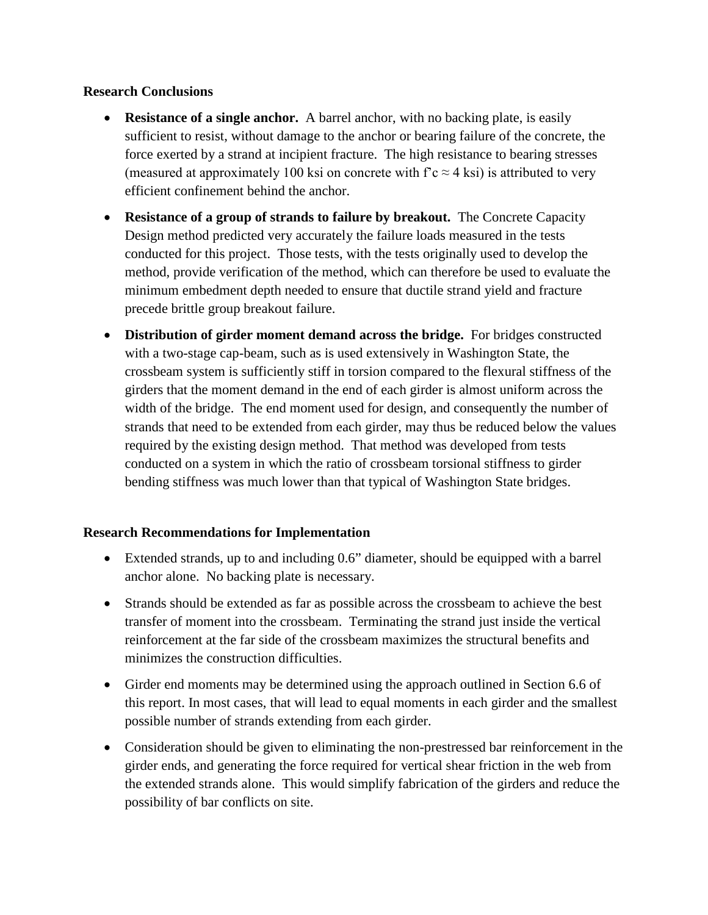#### **Research Conclusions**

- **Resistance of a single anchor.** A barrel anchor, with no backing plate, is easily sufficient to resist, without damage to the anchor or bearing failure of the concrete, the force exerted by a strand at incipient fracture. The high resistance to bearing stresses (measured at approximately 100 ksi on concrete with  $\Gamma c \approx 4$  ksi) is attributed to very efficient confinement behind the anchor.
- **Resistance of a group of strands to failure by breakout.** The Concrete Capacity Design method predicted very accurately the failure loads measured in the tests conducted for this project. Those tests, with the tests originally used to develop the method, provide verification of the method, which can therefore be used to evaluate the minimum embedment depth needed to ensure that ductile strand yield and fracture precede brittle group breakout failure.
- **Distribution of girder moment demand across the bridge.** For bridges constructed with a two-stage cap-beam, such as is used extensively in Washington State, the crossbeam system is sufficiently stiff in torsion compared to the flexural stiffness of the girders that the moment demand in the end of each girder is almost uniform across the width of the bridge. The end moment used for design, and consequently the number of strands that need to be extended from each girder, may thus be reduced below the values required by the existing design method. That method was developed from tests conducted on a system in which the ratio of crossbeam torsional stiffness to girder bending stiffness was much lower than that typical of Washington State bridges.

### **Research Recommendations for Implementation**

- Extended strands, up to and including 0.6" diameter, should be equipped with a barrel anchor alone. No backing plate is necessary.
- Strands should be extended as far as possible across the crossbeam to achieve the best transfer of moment into the crossbeam. Terminating the strand just inside the vertical reinforcement at the far side of the crossbeam maximizes the structural benefits and minimizes the construction difficulties.
- Girder end moments may be determined using the approach outlined in Section 6.6 of this report. In most cases, that will lead to equal moments in each girder and the smallest possible number of strands extending from each girder.
- Consideration should be given to eliminating the non-prestressed bar reinforcement in the girder ends, and generating the force required for vertical shear friction in the web from the extended strands alone. This would simplify fabrication of the girders and reduce the possibility of bar conflicts on site.